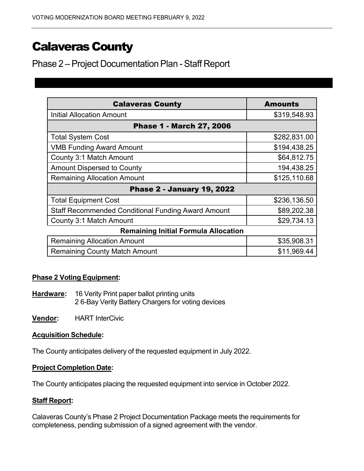# **Calaveras County**

Phase 2 – Project Documentation Plan - Staff Report

| <b>Calaveras County</b>                                   | <b>Amounts</b> |  |  |
|-----------------------------------------------------------|----------------|--|--|
| <b>Initial Allocation Amount</b>                          | \$319,548.93   |  |  |
| <b>Phase 1 - March 27, 2006</b>                           |                |  |  |
| <b>Total System Cost</b>                                  | \$282,831.00   |  |  |
| <b>VMB Funding Award Amount</b>                           | \$194,438.25   |  |  |
| County 3:1 Match Amount                                   | \$64,812.75    |  |  |
| <b>Amount Dispersed to County</b>                         | 194,438.25     |  |  |
| <b>Remaining Allocation Amount</b>                        | \$125,110.68   |  |  |
| <b>Phase 2 - January 19, 2022</b>                         |                |  |  |
| <b>Total Equipment Cost</b>                               | \$236,136.50   |  |  |
| <b>Staff Recommended Conditional Funding Award Amount</b> | \$89,202.38    |  |  |
| County 3:1 Match Amount                                   | \$29,734.13    |  |  |
| <b>Remaining Initial Formula Allocation</b>               |                |  |  |
| <b>Remaining Allocation Amount</b>                        | \$35,908.31    |  |  |
| <b>Remaining County Match Amount</b>                      | \$11,969.44    |  |  |

# **Phase 2 Voting Equipment:**

**Hardware:** 16 Verity Print paper ballot printing units 2 6-Bay Verity Battery Chargers for voting devices

**Vendor:** HART InterCivic

## **Acquisition Schedule:**

The County anticipates delivery of the requested equipment in July 2022.

#### **Project Completion Date:**

The County anticipates placing the requested equipment into service in October 2022.

## **Staff Report:**

Calaveras County's Phase 2 Project Documentation Package meets the requirements for completeness, pending submission of a signed agreement with the vendor.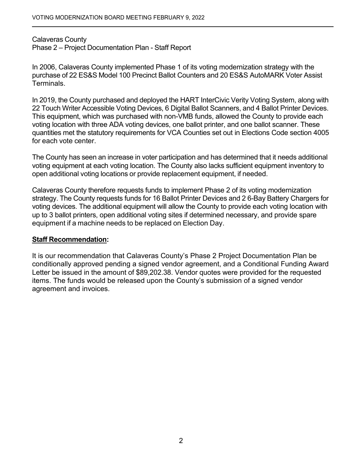Calaveras County Phase 2 – Project Documentation Plan - Staff Report

 purchase of 22 ES&S Model 100 Precinct Ballot Counters and 20 ES&S AutoMARK Voter Assist In 2006, Calaveras County implemented Phase 1 of its voting modernization strategy with the Terminals.

 In 2019, the County purchased and deployed the HART InterCivic Verity Voting System, along with 22 Touch Writer Accessible Voting Devices, 6 Digital Ballot Scanners, and 4 Ballot Printer Devices. quantities met the statutory requirements for VCA Counties set out in Elections Code section 4005 for each vote center. This equipment, which was purchased with non-VMB funds, allowed the County to provide each voting location with three ADA voting devices, one ballot printer, and one ballot scanner. These

 The County has seen an increase in voter participation and has determined that it needs additional open additional voting locations or provide replacement equipment, if needed. voting equipment at each voting location. The County also lacks sufficient equipment inventory to

 strategy. The County requests funds for 16 Ballot Printer Devices and 2 6-Bay Battery Chargers for equipment if a machine needs to be replaced on Election Day. Calaveras County therefore requests funds to implement Phase 2 of its voting modernization voting devices. The additional equipment will allow the County to provide each voting location with up to 3 ballot printers, open additional voting sites if determined necessary, and provide spare

## **Staff Recommendation:**

It is our recommendation that Calaveras County's Phase 2 Project Documentation Plan be conditionally approved pending a signed vendor agreement, and a Conditional Funding Award Letter be issued in the amount of [\\$89,202.38.](https://89,202.38) Vendor quotes were provided for the requested items. The funds would be released upon the County's submission of a signed vendor agreement and invoices.